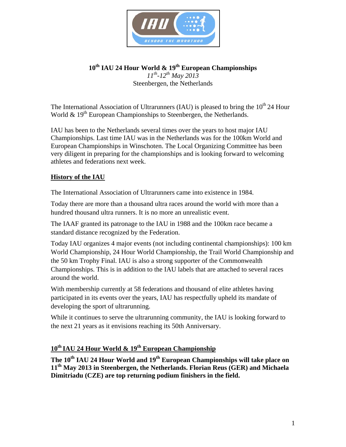

**10th IAU 24 Hour World & 19th European Championships**  *11th-12th May 2013*  Steenbergen, the Netherlands

The International Association of Ultrarunners (IAU) is pleased to bring the  $10^{th}$  24 Hour World  $\&$  19<sup>th</sup> European Championships to Steenbergen, the Netherlands.

IAU has been to the Netherlands several times over the years to host major IAU Championships. Last time IAU was in the Netherlands was for the 100km World and European Championships in Winschoten. The Local Organizing Committee has been very diligent in preparing for the championships and is looking forward to welcoming athletes and federations next week.

# **History of the IAU**

The International Association of Ultrarunners came into existence in 1984.

Today there are more than a thousand ultra races around the world with more than a hundred thousand ultra runners. It is no more an unrealistic event.

The IAAF granted its patronage to the IAU in 1988 and the 100km race became a standard distance recognized by the Federation.

Today IAU organizes 4 major events (not including continental championships): 100 km World Championship, 24 Hour World Championship, the Trail World Championship and the 50 km Trophy Final. IAU is also a strong supporter of the Commonwealth Championships. This is in addition to the IAU labels that are attached to several races around the world.

With membership currently at 58 federations and thousand of elite athletes having participated in its events over the years, IAU has respectfully upheld its mandate of developing the sport of ultrarunning.

While it continues to serve the ultrarunning community, the IAU is looking forward to the next 21 years as it envisions reaching its 50th Anniversary.

# **10th IAU 24 Hour World & 19th European Championship**

The 10<sup>th</sup> IAU 24 Hour World and 19<sup>th</sup> European Championships will take place on **11th May 2013 in Steenbergen, the Netherlands. Florian Reus (GER) and Michaela Dimitriadu (CZE) are top returning podium finishers in the field.**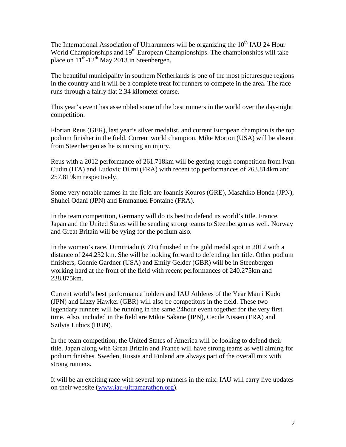The International Association of Ultrarunners will be organizing the  $10<sup>th</sup>$  IAU 24 Hour World Championships and 19<sup>th</sup> European Championships. The championships will take place on  $11^{th}$ -12<sup>th</sup> May 2013 in Steenbergen.

The beautiful municipality in southern Netherlands is one of the most picturesque regions in the country and it will be a complete treat for runners to compete in the area. The race runs through a fairly flat 2.34 kilometer course.

This year's event has assembled some of the best runners in the world over the day-night competition.

Florian Reus (GER), last year's silver medalist, and current European champion is the top podium finisher in the field. Current world champion, Mike Morton (USA) will be absent from Steenbergen as he is nursing an injury.

Reus with a 2012 performance of 261.718km will be getting tough competition from Ivan Cudin (ITA) and Ludovic Dilmi (FRA) with recent top performances of 263.814km and 257.819km respectively.

Some very notable names in the field are Ioannis Kouros (GRE), Masahiko Honda (JPN), Shuhei Odani (JPN) and Emmanuel Fontaine (FRA).

In the team competition, Germany will do its best to defend its world's title. France, Japan and the United States will be sending strong teams to Steenbergen as well. Norway and Great Britain will be vying for the podium also.

In the women's race, Dimitriadu (CZE) finished in the gold medal spot in 2012 with a distance of 244.232 km. She will be looking forward to defending her title. Other podium finishers, Connie Gardner (USA) and Emily Gelder (GBR) will be in Steenbergen working hard at the front of the field with recent performances of 240.275km and 238.875km.

Current world's best performance holders and IAU Athletes of the Year Mami Kudo (JPN) and Lizzy Hawker (GBR) will also be competitors in the field. These two legendary runners will be running in the same 24hour event together for the very first time. Also, included in the field are Mikie Sakane (JPN), Cecile Nissen (FRA) and Szilvia Lubics (HUN).

In the team competition, the United States of America will be looking to defend their title. Japan along with Great Britain and France will have strong teams as well aiming for podium finishes. Sweden, Russia and Finland are always part of the overall mix with strong runners.

It will be an exciting race with several top runners in the mix. IAU will carry live updates on their website (www.iau-ultramarathon.org).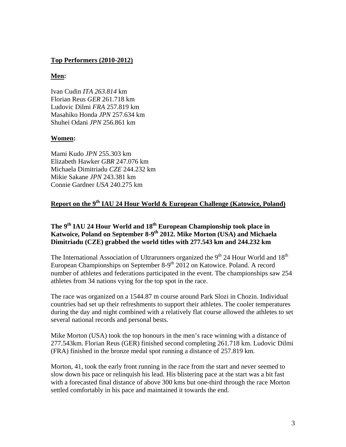#### **Top Performers (2010-2012)**

#### **Men:**

Ivan Cudin *ITA 263.814* km Florian Reus *GER* 261.718 km Ludovic Dilmi *FRA* 257.819 km Masahiko Honda *JPN* 257.634 km Shuhei Odani *JPN* 256.861 km

#### **Women:**

Mami Kudo *JPN* 255.303 km Elizabeth Hawker *GBR* 247.076 km Michaela Dimitriadu *CZE* 244.232 km Mikie Sakane *JPN* 243.381 km Connie Gardner *USA* 240.275 km

# **Report on the 9<sup>th</sup> IAU 24 Hour World & European Challenge (Katowice, Poland)**

## The 9<sup>th</sup> IAU 24 Hour World and 18<sup>th</sup> European Championship took place in **Katwoice, Poland on September 8-9th 2012. Mike Morton (USA) and Michaela Dimitriadu (CZE) grabbed the world titles with 277.543 km and 244.232 km**

The International Association of Ultrarunners organized the  $9<sup>th</sup> 24$  Hour World and  $18<sup>th</sup>$ European Championships on September  $8-9<sup>th</sup> 2012$  on Katowice. Poland. A record number of athletes and federations participated in the event. The championships saw 254 athletes from 34 nations vying for the top spot in the race.

The race was organized on a 1544.87 m course around Park Slozi in Chozin. Individual countries had set up their refreshments to support their athletes. The cooler temperatures during the day and night combined with a relatively flat course allowed the athletes to set several national records and personal bests.

Mike Morton (USA) took the top honours in the men's race winning with a distance of 277.543km. Florian Reus (GER) finished second completing 261.718 km. Ludovic Dilmi (FRA) finished in the bronze medal spot running a distance of 257.819 km.

Morton, 41, took the early front running in the race from the start and never seemed to slow down his pace or relinquish his lead. His blistering pace at the start was a bit fast with a forecasted final distance of above 300 kms but one-third through the race Morton settled comfortably in his pace and maintained it towards the end.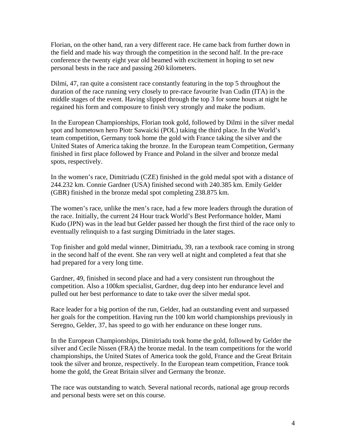Florian, on the other hand, ran a very different race. He came back from further down in the field and made his way through the competition in the second half. In the pre-race conference the twenty eight year old beamed with excitement in hoping to set new personal bests in the race and passing 260 kilometers.

Dilmi, 47, ran quite a consistent race constantly featuring in the top 5 throughout the duration of the race running very closely to pre-race favourite Ivan Cudin (ITA) in the middle stages of the event. Having slipped through the top 3 for some hours at night he regained his form and composure to finish very strongly and make the podium.

In the European Championships, Florian took gold, followed by Dilmi in the silver medal spot and hometown hero Piotr Sawaicki (POL) taking the third place. In the World's team competition, Germany took home the gold with France taking the silver and the United States of America taking the bronze. In the European team Competition, Germany finished in first place followed by France and Poland in the silver and bronze medal spots, respectively.

In the women's race, Dimitriadu (CZE) finished in the gold medal spot with a distance of 244.232 km. Connie Gardner (USA) finished second with 240.385 km. Emily Gelder (GBR) finished in the bronze medal spot completing 238.875 km.

The women's race, unlike the men's race, had a few more leaders through the duration of the race. Initially, the current 24 Hour track World's Best Performance holder, Mami Kudo (JPN) was in the lead but Gelder passed her though the first third of the race only to eventually relinquish to a fast surging Dimitriadu in the later stages.

Top finisher and gold medal winner, Dimitriadu, 39, ran a textbook race coming in strong in the second half of the event. She ran very well at night and completed a feat that she had prepared for a very long time.

Gardner, 49, finished in second place and had a very consistent run throughout the competition. Also a 100km specialist, Gardner, dug deep into her endurance level and pulled out her best performance to date to take over the silver medal spot.

Race leader for a big portion of the run, Gelder, had an outstanding event and surpassed her goals for the competition. Having run the 100 km world championships previously in Seregno, Gelder, 37, has speed to go with her endurance on these longer runs.

In the European Championships, Dimitriadu took home the gold, followed by Gelder the silver and Cecile Nissen (FRA) the bronze medal. In the team competitions for the world championships, the United States of America took the gold, France and the Great Britain took the silver and bronze, respectively. In the European team competition, France took home the gold, the Great Britain silver and Germany the bronze.

The race was outstanding to watch. Several national records, national age group records and personal bests were set on this course.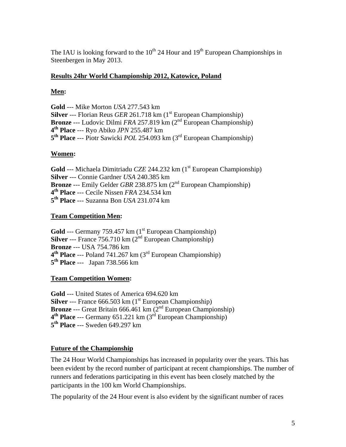The IAU is looking forward to the  $10^{th}$  24 Hour and  $19^{th}$  European Championships in Steenbergen in May 2013.

## **Results 24hr World Championship 2012, Katowice, Poland**

# **Men:**

**Gold** --- Mike Morton *USA* 277.543 km **Silver** --- Florian Reus *GER* 261.718 km (1<sup>st</sup> European Championship) **Bronze** --- Ludovic Dilmi *FRA* 257.819 km (2<sup>nd</sup> European Championship) **4th Place** --- Ryo Abiko *JPN* 255.487 km **5th Place** --- Piotr Sawicki *POL* 254.093 km (3rd European Championship)

## **Women:**

**Gold** --- Michaela Dimitriadu *CZE* 244.232 km (1<sup>st</sup> European Championship) **Silver** --- Connie Gardner *USA* 240.385 km **Bronze** --- Emily Gelder *GBR* 238.875 km (2nd European Championship) **4th Place** --- Cecile Nissen *FRA* 234.534 km **5th Place** --- Suzanna Bon *USA* 231.074 km

## **Team Competition Men:**

**Gold** --- Germany 759.457 km (1<sup>st</sup> European Championship) **Silver** --- France 756.710 km (2<sup>nd</sup> European Championship) **Bronze** --- USA 754.786 km **4th Place** --- Poland 741.267 km (3rd European Championship) **5th Place** --- Japan 738.566 km

### **Team Competition Women:**

**Gold** --- United States of America 694.620 km **Silver** --- France 666.503 km (1<sup>st</sup> European Championship) **Bronze** --- Great Britain 666.461 km (2<sup>nd</sup> European Championship) **4th Place** --- Germany 651.221 km (3rd European Championship) **5th Place** --- Sweden 649.297 km

# **Future of the Championship**

The 24 Hour World Championships has increased in popularity over the years. This has been evident by the record number of participant at recent championships. The number of runners and federations participating in this event has been closely matched by the participants in the 100 km World Championships.

The popularity of the 24 Hour event is also evident by the significant number of races